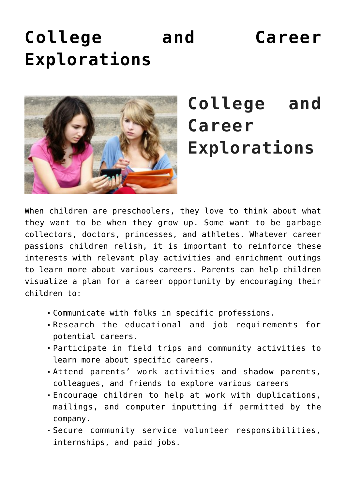## **[College and Career](https://genparenting.com/college-and-career-explorations/) [Explorations](https://genparenting.com/college-and-career-explorations/)**



## **College and Career Explorations**

When children are preschoolers, they love to think about what they want to be when they grow up. Some want to be garbage collectors, doctors, princesses, and athletes. Whatever career passions children relish, it is important to reinforce these interests with relevant play activities and enrichment outings to learn more about various careers. Parents can help children visualize a plan for a career opportunity by encouraging their children to:

- Communicate with folks in specific professions.
- Research the educational and job requirements for potential careers.
- Participate in field trips and community activities to learn more about specific careers.
- Attend parents' work activities and shadow parents, colleagues, and friends to explore various careers
- Encourage children to help at work with duplications, mailings, and computer inputting if permitted by the company.
- Secure community service volunteer responsibilities, internships, and paid jobs.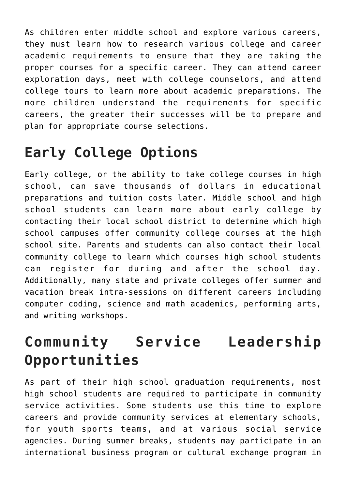As children enter middle school and explore various careers, they must learn how to research various college and career academic requirements to ensure that they are taking the proper courses for a specific career. They can attend career exploration days, meet with college counselors, and attend college tours to learn more about academic preparations. The more children understand the requirements for specific careers, the greater their successes will be to prepare and plan for appropriate course selections.

## **Early College Options**

Early college, or the ability to take college courses in high school, can save thousands of dollars in educational preparations and tuition costs later. Middle school and high school students can learn more about early college by contacting their local school district to determine which high school campuses offer community college courses at the high school site. Parents and students can also contact their local community college to learn which courses high school students can register for during and after the school day. Additionally, many state and private colleges offer summer and vacation break intra-sessions on different careers including computer coding, science and math academics, performing arts, and writing workshops.

## **Community Service Leadership Opportunities**

As part of their high school graduation requirements, most high school students are required to participate in community service activities. Some students use this time to explore careers and provide community services at elementary schools, for youth sports teams, and at various social service agencies. During summer breaks, students may participate in an international business program or cultural exchange program in